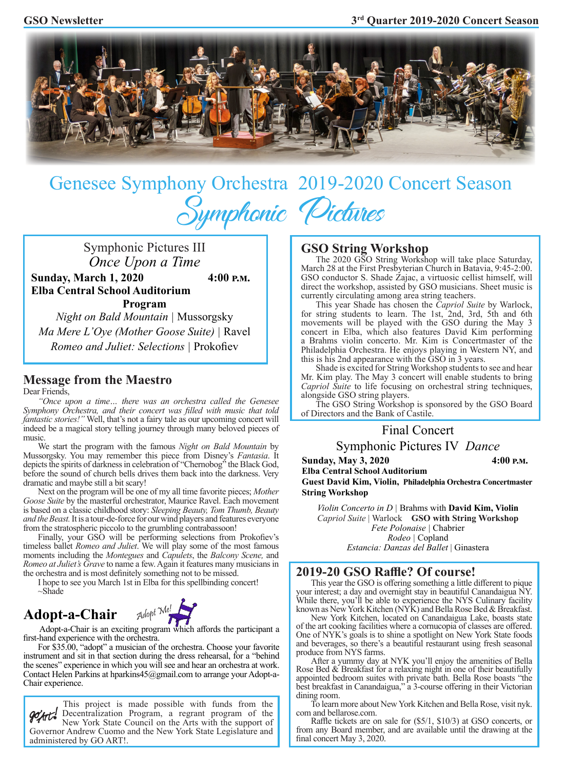

# Genesee Symphony Orchestra2019-2020 Concert Season Symphonic Pictures

Symphonic Pictures III *Once Upon a Time* **Sunday, March 1, 2020 4:00 p.m. Elba Central School Auditorium Program**

*Night on Bald Mountain |* Mussorgsky *Ma Mere L'Oye (Mother Goose Suite) |* Ravel *Romeo and Juliet: Selections |* Prokofiev

## **Message from the Maestro**

Dear Friends,

*"Once upon a time… there was an orchestra called the Genesee Symphony Orchestra, and their concert was filled with music that told fantastic stories!"* Well, that's not a fairy tale as our upcoming concert will indeed be a magical story telling journey through many beloved pieces of music.

We start the program with the famous *Night on Bald Mountain* by Mussorgsky. You may remember this piece from Disney's *Fantasia*. It depicts the spirits of darkness in celebration of "Chernobog" the Black God, before the sound of church bells drives them back into the darkness. Very dramatic and maybe still a bit scary!

Next on the program will be one of my all time favorite pieces; *Mother Goose Suite* by the masterful orchestrator, Maurice Ravel. Each movement is based on a classic childhood story: *Sleeping Beauty, Tom Thumb, Beauty and the Beast.* It is a tour-de-force for our wind players and features everyone from the stratospheric piccolo to the grumbling contrabassoon!

Finally, your GSO will be performing selections from Prokofiev's timeless ballet *Romeo and Juliet*. We will play some of the most famous moments including the *Montegues* and *Capulets*, the *Balcony Scene,* and *Romeo at Juliet's Grave* to name a few. Again it features many musicians in the orchestra and is most definitely something not to be missed.

I hope to see you March 1st in Elba for this spellbinding concert!  $\sim$ Shade

# **Adopt-a-Chair** Adopt Me!



 Adopt-a-Chair is an exciting program which affords the participant a first-hand experience with the orchestra.

 For \$35.00, "adopt" a musician of the orchestra. Choose your favorite instrument and sit in that section during the dress rehearsal, for a "behind the scenes" experience in which you will see and hear an orchestra at work. Contact Helen Parkins at hparkins45@gmail.com to arrange your Adopt-a-Chair experience.

This project is made possible with funds from the Decentralization Program, a regrant program of the New York State Council on the Arts with the support of Governor Andrew Cuomo and the New York State Legislature and administered by GO ART!.

### **GSO String Workshop**

The 2020 GSO String Workshop will take place Saturday, March 28 at the First Presbyterian Church in Batavia, 9:45-2:00. GSO conductor S. Shade Zajac, a virtuosic cellist himself, will direct the workshop, assisted by GSO musicians. Sheet music is currently circulating among area string teachers.

This year Shade has chosen the *Capriol Suite* by Warlock, for string students to learn. The 1st, 2nd, 3rd, 5th and 6th movements will be played with the GSO during the May 3 concert in Elba, which also features David Kim performing a Brahms violin concerto. Mr. Kim is Concertmaster of the Philadelphia Orchestra. He enjoys playing in Western NY, and this is his 2nd appearance with the GSO in 3 years.

Shade is excited for String Workshop students to see and hear Mr. Kim play. The May 3 concert will enable students to bring *Capriol Suite* to life focusing on orchestral string techniques, alongside GSO string players.

The GSO String Workshop is sponsored by the GSO Board of Directors and the Bank of Castile.

#### Final Concert

Symphonic Pictures IV *Dance*

**Sunday, May 3, 2020** 4:00 P.M.

**Elba Central School Auditorium**

**Guest David Kim, Violin, Philadelphia Orchestra Concertmaster String Workshop**

*Violin Concerto in D |* Brahms with **David Kim, Violin** *Capriol Suite* | Warlock **GSO with String Workshop** *Fete Polonaise |* Chabrier *Rodeo |* Copland *Estancia: Danzas del Ballet* | Ginastera

#### **2019-20 GSO Raffle? Of course!**

 This year the GSO is offering something a little different to pique your interest; a day and overnight stay in beautiful Canandaigua NY. While there, you'll be able to experience the NYS Culinary facility known as New York Kitchen (NYK) and Bella Rose Bed & Breakfast.

New York Kitchen, located on Canandaigua Lake, boasts state of the art cooking facilities where a cornucopia of classes are offered. One of NYK's goals is to shine a spotlight on New York State foods and beverages, so there's a beautiful restaurant using fresh seasonal produce from NYS farms.

After a yummy day at NYK you'll enjoy the amenities of Bella Rose Bed & Breakfast for a relaxing night in one of their beautifully appointed bedroom suites with private bath. Bella Rose boasts "the best breakfast in Canandaigua," a 3-course offering in their Victorian dining room.

To learn more about New York Kitchen and Bella Rose, visit nyk. com and bellarose.com.

 Raffle tickets are on sale for (\$5/1, \$10/3) at GSO concerts, or from any Board member, and are available until the drawing at the final concert May 3, 2020.